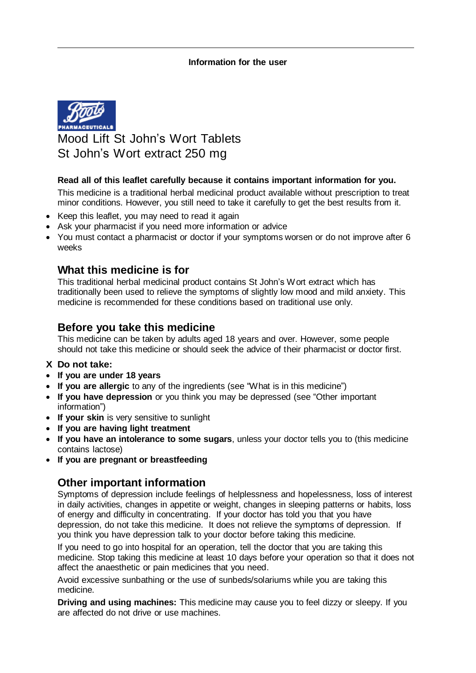

Mood Lift St John's Wort Tablets St John's Wort extract 250 mg

#### **Read all of this leaflet carefully because it contains important information for you.**

This medicine is a traditional herbal medicinal product available without prescription to treat minor conditions. However, you still need to take it carefully to get the best results from it.

- Keep this leaflet, you may need to read it again
- Ask your pharmacist if you need more information or advice
- You must contact a pharmacist or doctor if your symptoms worsen or do not improve after 6 weeks

## **What this medicine is for**

This traditional herbal medicinal product contains St John's Wort extract which has traditionally been used to relieve the symptoms of slightly low mood and mild anxiety. This medicine is recommended for these conditions based on traditional use only.

## **Before you take this medicine**

This medicine can be taken by adults aged 18 years and over. However, some people should not take this medicine or should seek the advice of their pharmacist or doctor first.

- **X Do not take:**
- **If you are under 18 years**
- **If you are allergic** to any of the ingredients (see "What is in this medicine")
- **If you have depression** or you think you may be depressed (see "Other important information")
- **If your skin** is very sensitive to sunlight
- **If you are having light treatment**
- **If you have an intolerance to some sugars**, unless your doctor tells you to (this medicine contains lactose)
- **If you are pregnant or breastfeeding**

## **Other important information**

Symptoms of depression include feelings of helplessness and hopelessness, loss of interest in daily activities, changes in appetite or weight, changes in sleeping patterns or habits, loss of energy and difficulty in concentrating. If your doctor has told you that you have depression, do not take this medicine. It does not relieve the symptoms of depression. If you think you have depression talk to your doctor before taking this medicine.

If you need to go into hospital for an operation, tell the doctor that you are taking this medicine. Stop taking this medicine at least 10 days before your operation so that it does not affect the anaesthetic or pain medicines that you need.

Avoid excessive sunbathing or the use of sunbeds/solariums while you are taking this medicine.

**Driving and using machines:** This medicine may cause you to feel dizzy or sleepy. If you are affected do not drive or use machines.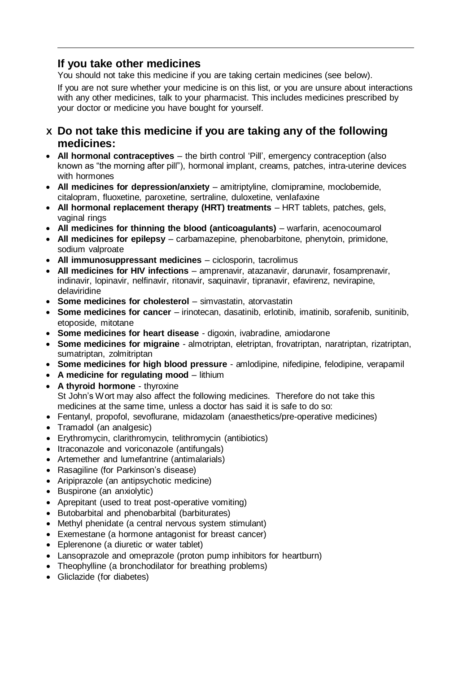# **If you take other medicines**

You should not take this medicine if you are taking certain medicines (see below).

If you are not sure whether your medicine is on this list, or you are unsure about interactions with any other medicines, talk to your pharmacist. This includes medicines prescribed by your doctor or medicine you have bought for yourself.

- **X Do not take this medicine if you are taking any of the following medicines:**
- **All hormonal contraceptives** the birth control 'Pill', emergency contraception (also known as "the morning after pill"), hormonal implant, creams, patches, intra-uterine devices with hormones
- **All medicines for depression/anxiety** amitriptyline, clomipramine, moclobemide, citalopram, fluoxetine, paroxetine, sertraline, duloxetine, venlafaxine
- **All hormonal replacement therapy (HRT) treatments** HRT tablets, patches, gels, vaginal rings
- **All medicines for thinning the blood (anticoagulants)** warfarin, acenocoumarol
- **All medicines for epilepsy** carbamazepine, phenobarbitone, phenytoin, primidone, sodium valproate
- **All immunosuppressant medicines** ciclosporin, tacrolimus
- **All medicines for HIV infections** amprenavir, atazanavir, darunavir, fosamprenavir, indinavir, lopinavir, nelfinavir, ritonavir, saquinavir, tipranavir, efavirenz, nevirapine, delaviridine
- **Some medicines for cholesterol** simvastatin, atorvastatin
- **Some medicines for cancer** irinotecan, dasatinib, erlotinib, imatinib, sorafenib, sunitinib, etoposide, mitotane
- **Some medicines for heart disease** digoxin, ivabradine, amiodarone
- **Some medicines for migraine** almotriptan, eletriptan, frovatriptan, naratriptan, rizatriptan, sumatriptan, zolmitriptan
- **Some medicines for high blood pressure** amlodipine, nifedipine, felodipine, verapamil
- **A medicine for regulating mood** lithium
- **A thyroid hormone** thyroxine St John's Wort may also affect the following medicines. Therefore do not take this medicines at the same time, unless a doctor has said it is safe to do so:
- Fentanyl, propofol, sevoflurane, midazolam (anaesthetics/pre-operative medicines)
- Tramadol (an analgesic)
- Erythromycin, clarithromycin, telithromycin (antibiotics)
- Itraconazole and voriconazole (antifungals)
- Artemether and lumefantrine (antimalarials)
- Rasagiline (for Parkinson's disease)
- Aripiprazole (an antipsychotic medicine)
- Buspirone (an anxiolytic)
- Aprepitant (used to treat post-operative vomiting)
- Butobarbital and phenobarbital (barbiturates)
- Methyl phenidate (a central nervous system stimulant)
- Exemestane (a hormone antagonist for breast cancer)
- Eplerenone (a diuretic or water tablet)
- Lansoprazole and omeprazole (proton pump inhibitors for heartburn)
- Theophylline (a bronchodilator for breathing problems)
- Gliclazide (for diabetes)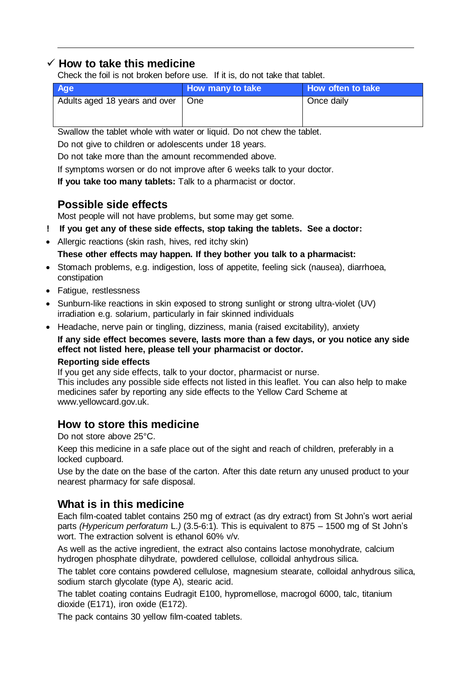### **How to take this medicine**

Check the foil is not broken before use. If it is, do not take that tablet.

| Age                           | How many to take | How often to take |
|-------------------------------|------------------|-------------------|
| Adults aged 18 years and over | One              | Once daily        |

Swallow the tablet whole with water or liquid. Do not chew the tablet.

Do not give to children or adolescents under 18 years.

Do not take more than the amount recommended above.

If symptoms worsen or do not improve after 6 weeks talk to your doctor.

**If you take too many tablets:** Talk to a pharmacist or doctor.

# **Possible side effects**

Most people will not have problems, but some may get some.

- **! If you get any of these side effects, stop taking the tablets. See a doctor:**
- Allergic reactions (skin rash, hives, red itchy skin)

**These other effects may happen. If they bother you talk to a pharmacist:**

- Stomach problems, e.g. indigestion, loss of appetite, feeling sick (nausea), diarrhoea, constipation
- Fatigue, restlessness
- Sunburn-like reactions in skin exposed to strong sunlight or strong ultra-violet (UV) irradiation e.g. solarium, particularly in fair skinned individuals
- Headache, nerve pain or tingling, dizziness, mania (raised excitability), anxiety

### **If any side effect becomes severe, lasts more than a few days, or you notice any side effect not listed here, please tell your pharmacist or doctor.**

### **Reporting side effects**

If you get any side effects, talk to your doctor, pharmacist or nurse. This includes any possible side effects not listed in this leaflet. You can also help to make medicines safer by reporting any side effects to the Yellow Card Scheme at [www.yellowcard.gov.uk.](http://www.yellowcard.gov.uk/) 

## **How to store this medicine**

Do not store above 25°C.

Keep this medicine in a safe place out of the sight and reach of children, preferably in a locked cupboard.

Use by the date on the base of the carton. After this date return any unused product to your nearest pharmacy for safe disposal.

## **What is in this medicine**

Each film-coated tablet contains 250 mg of extract (as dry extract) from St John's wort aerial parts *(Hypericum perforatum* L.*)* (3.5-6:1). This is equivalent to 875 – 1500 mg of St John's wort. The extraction solvent is ethanol 60% v/v.

As well as the active ingredient, the extract also contains lactose monohydrate, calcium hydrogen phosphate dihydrate, powdered cellulose, colloidal anhydrous silica.

The tablet core contains powdered cellulose, magnesium stearate, colloidal anhydrous silica, sodium starch glycolate (type A), stearic acid.

The tablet coating contains Eudragit E100, hypromellose, macrogol 6000, talc, titanium dioxide (E171), iron oxide (E172).

The pack contains 30 yellow film-coated tablets.